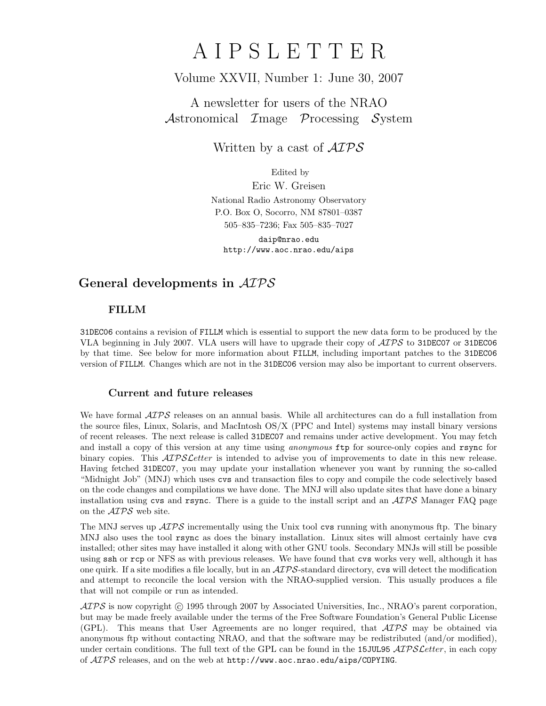# A I P S L E T T E R

# Volume XXVII, Number 1: June 30, 2007

# A newsletter for users of the NRAO Astronomical Image Processing System

Written by a cast of  $\mathcal{AIPS}$ 

Edited by

Eric W. Greisen National Radio Astronomy Observatory P.O. Box O, Socorro, NM 87801–0387 505–835–7236; Fax 505–835–7027

daip@nrao.edu http://www.aoc.nrao.edu/aips

# General developments in AIPS

## FILLM

31DEC06 contains a revision of FILLM which is essential to support the new data form to be produced by the VLA beginning in July 2007. VLA users will have to upgrade their copy of  $\mathcal{AIPS}$  to 31DEC07 or 31DEC06 by that time. See below for more information about FILLM, including important patches to the 31DEC06 version of FILLM. Changes which are not in the 31DEC06 version may also be important to current observers.

## Current and future releases

We have formal  $\mathcal{AIPS}$  releases on an annual basis. While all architectures can do a full installation from the source files, Linux, Solaris, and MacIntosh OS/X (PPC and Intel) systems may install binary versions of recent releases. The next release is called 31DEC07 and remains under active development. You may fetch and install a copy of this version at any time using *anonymous* ftp for source-only copies and rsync for binary copies. This  $\mathcal{A}TPS\mathcal{L}etter$  is intended to advise you of improvements to date in this new release. Having fetched 31DEC07, you may update your installation whenever you want by running the so-called "Midnight Job" (MNJ) which uses cvs and transaction files to copy and compile the code selectively based on the code changes and compilations we have done. The MNJ will also update sites that have done a binary installation using cvs and rsync. There is a guide to the install script and an  $\mathcal{AIPS}$  Manager FAQ page on the AIPS web site.

The MNJ serves up  $\mathcal{A} \mathcal{I} \mathcal{P} \mathcal{S}$  incrementally using the Unix tool cvs running with anonymous ftp. The binary MNJ also uses the tool rsync as does the binary installation. Linux sites will almost certainly have cvs installed; other sites may have installed it along with other GNU tools. Secondary MNJs will still be possible using ssh or rcp or NFS as with previous releases. We have found that cvs works very well, although it has one quirk. If a site modifies a file locally, but in an  $\mathcal{AIPS}$ -standard directory, cvs will detect the modification and attempt to reconcile the local version with the NRAO-supplied version. This usually produces a file that will not compile or run as intended.

 $ATPS$  is now copyright  $\odot$  1995 through 2007 by Associated Universities, Inc., NRAO's parent corporation, but may be made freely available under the terms of the Free Software Foundation's General Public License (GPL). This means that User Agreements are no longer required, that  $\mathcal{AIPS}$  may be obtained via anonymous ftp without contacting NRAO, and that the software may be redistributed (and/or modified), under certain conditions. The full text of the GPL can be found in the 15JUL95  $\mathcal{A}TPS\mathcal{L}etter$ , in each copy of AIPS releases, and on the web at http://www.aoc.nrao.edu/aips/COPYING.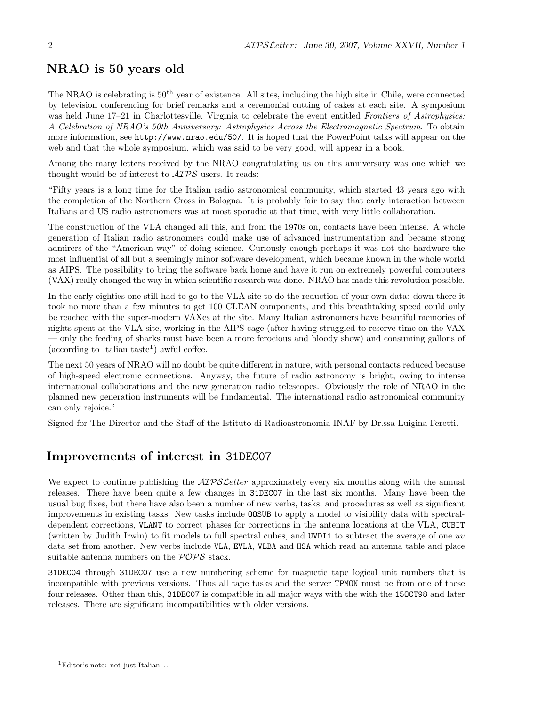# NRAO is 50 years old

The NRAO is celebrating is  $50<sup>th</sup>$  year of existence. All sites, including the high site in Chile, were connected by television conferencing for brief remarks and a ceremonial cutting of cakes at each site. A symposium was held June 17–21 in Charlottesville, Virginia to celebrate the event entitled Frontiers of Astrophysics: A Celebration of NRAO's 50th Anniversary: Astrophysics Across the Electromagnetic Spectrum. To obtain more information, see http://www.nrao.edu/50/. It is hoped that the PowerPoint talks will appear on the web and that the whole symposium, which was said to be very good, will appear in a book.

Among the many letters received by the NRAO congratulating us on this anniversary was one which we thought would be of interest to  $\mathcal{A} \mathcal{I} \mathcal{P} \mathcal{S}$  users. It reads:

"Fifty years is a long time for the Italian radio astronomical community, which started 43 years ago with the completion of the Northern Cross in Bologna. It is probably fair to say that early interaction between Italians and US radio astronomers was at most sporadic at that time, with very little collaboration.

The construction of the VLA changed all this, and from the 1970s on, contacts have been intense. A whole generation of Italian radio astronomers could make use of advanced instrumentation and became strong admirers of the "American way" of doing science. Curiously enough perhaps it was not the hardware the most influential of all but a seemingly minor software development, which became known in the whole world as AIPS. The possibility to bring the software back home and have it run on extremely powerful computers (VAX) really changed the way in which scientific research was done. NRAO has made this revolution possible.

In the early eighties one still had to go to the VLA site to do the reduction of your own data: down there it took no more than a few minutes to get 100 CLEAN components, and this breathtaking speed could only be reached with the super-modern VAXes at the site. Many Italian astronomers have beautiful memories of nights spent at the VLA site, working in the AIPS-cage (after having struggled to reserve time on the VAX — only the feeding of sharks must have been a more ferocious and bloody show) and consuming gallons of  $(\text{according to Italian taste}^1)$  awful coffee.

The next 50 years of NRAO will no doubt be quite different in nature, with personal contacts reduced because of high-speed electronic connections. Anyway, the future of radio astronomy is bright, owing to intense international collaborations and the new generation radio telescopes. Obviously the role of NRAO in the planned new generation instruments will be fundamental. The international radio astronomical community can only rejoice."

Signed for The Director and the Staff of the Istituto di Radioastronomia INAF by Dr.ssa Luigina Feretti.

# Improvements of interest in 31DEC07

We expect to continue publishing the *AIPS Letter* approximately every six months along with the annual releases. There have been quite a few changes in 31DEC07 in the last six months. Many have been the usual bug fixes, but there have also been a number of new verbs, tasks, and procedures as well as significant improvements in existing tasks. New tasks include OOSUB to apply a model to visibility data with spectraldependent corrections, VLANT to correct phases for corrections in the antenna locations at the VLA, CUBIT (written by Judith Irwin) to fit models to full spectral cubes, and UVDI1 to subtract the average of one uv data set from another. New verbs include VLA, EVLA, VLBA and HSA which read an antenna table and place suitable antenna numbers on the  $POPS$  stack.

31DEC04 through 31DEC07 use a new numbering scheme for magnetic tape logical unit numbers that is incompatible with previous versions. Thus all tape tasks and the server TPMON must be from one of these four releases. Other than this, 31DEC07 is compatible in all major ways with the with the 150CT98 and later releases. There are significant incompatibilities with older versions.

 ${}^{1}$ Editor's note: not just Italian...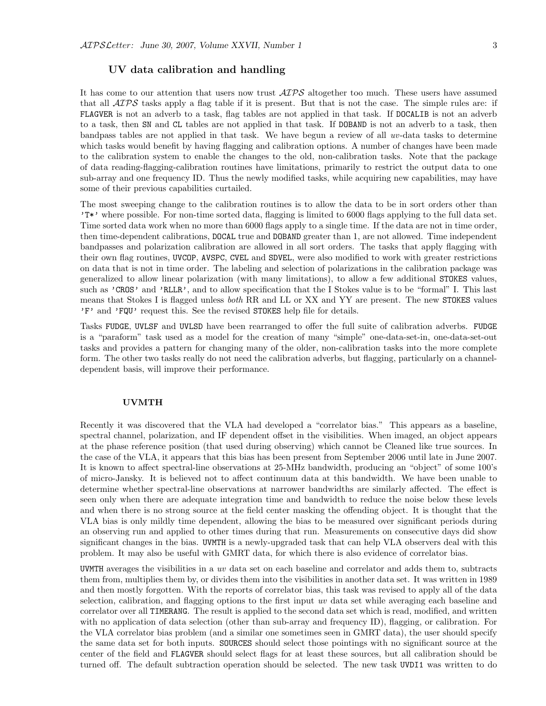## UV data calibration and handling

It has come to our attention that users now trust  $\mathcal{AIPS}$  altogether too much. These users have assumed that all  $\mathcal{AIPS}$  tasks apply a flag table if it is present. But that is not the case. The simple rules are: if FLAGVER is not an adverb to a task, flag tables are not applied in that task. If DOCALIB is not an adverb to a task, then SN and CL tables are not applied in that task. If DOBAND is not an adverb to a task, then bandpass tables are not applied in that task. We have begun a review of all uv-data tasks to determine which tasks would benefit by having flagging and calibration options. A number of changes have been made to the calibration system to enable the changes to the old, non-calibration tasks. Note that the package of data reading-flagging-calibration routines have limitations, primarily to restrict the output data to one sub-array and one frequency ID. Thus the newly modified tasks, while acquiring new capabilities, may have some of their previous capabilities curtailed.

The most sweeping change to the calibration routines is to allow the data to be in sort orders other than 'T\*' where possible. For non-time sorted data, flagging is limited to 6000 flags applying to the full data set. Time sorted data work when no more than 6000 flags apply to a single time. If the data are not in time order, then time-dependent calibrations, DOCAL true and DOBAND greater than 1, are not allowed. Time independent bandpasses and polarization calibration are allowed in all sort orders. The tasks that apply flagging with their own flag routines, UVCOP, AVSPC, CVEL and SDVEL, were also modified to work with greater restrictions on data that is not in time order. The labeling and selection of polarizations in the calibration package was generalized to allow linear polarization (with many limitations), to allow a few additional STOKES values, such as 'CROS' and 'RLLR', and to allow specification that the I Stokes value is to be "formal" I. This last means that Stokes I is flagged unless *both* RR and LL or XX and YY are present. The new STOKES values 'F' and 'FQU' request this. See the revised STOKES help file for details.

Tasks FUDGE, UVLSF and UVLSD have been rearranged to offer the full suite of calibration adverbs. FUDGE is a "paraform" task used as a model for the creation of many "simple" one-data-set-in, one-data-set-out tasks and provides a pattern for changing many of the older, non-calibration tasks into the more complete form. The other two tasks really do not need the calibration adverbs, but flagging, particularly on a channeldependent basis, will improve their performance.

#### UVMTH

Recently it was discovered that the VLA had developed a "correlator bias." This appears as a baseline, spectral channel, polarization, and IF dependent offset in the visibilities. When imaged, an object appears at the phase reference position (that used during observing) which cannot be Cleaned like true sources. In the case of the VLA, it appears that this bias has been present from September 2006 until late in June 2007. It is known to affect spectral-line observations at 25-MHz bandwidth, producing an "object" of some 100's of micro-Jansky. It is believed not to affect continuum data at this bandwidth. We have been unable to determine whether spectral-line observations at narrower bandwidths are similarly affected. The effect is seen only when there are adequate integration time and bandwidth to reduce the noise below these levels and when there is no strong source at the field center masking the offending object. It is thought that the VLA bias is only mildly time dependent, allowing the bias to be measured over significant periods during an observing run and applied to other times during that run. Measurements on consecutive days did show significant changes in the bias. UVMTH is a newly-upgraded task that can help VLA observers deal with this problem. It may also be useful with GMRT data, for which there is also evidence of correlator bias.

UVMTH averages the visibilities in a uv data set on each baseline and correlator and adds them to, subtracts them from, multiplies them by, or divides them into the visibilities in another data set. It was written in 1989 and then mostly forgotten. With the reports of correlator bias, this task was revised to apply all of the data selection, calibration, and flagging options to the first input uv data set while averaging each baseline and correlator over all TIMERANG. The result is applied to the second data set which is read, modified, and written with no application of data selection (other than sub-array and frequency ID), flagging, or calibration. For the VLA correlator bias problem (and a similar one sometimes seen in GMRT data), the user should specify the same data set for both inputs. SOURCES should select those pointings with no significant source at the center of the field and FLAGVER should select flags for at least these sources, but all calibration should be turned off. The default subtraction operation should be selected. The new task UVDI1 was written to do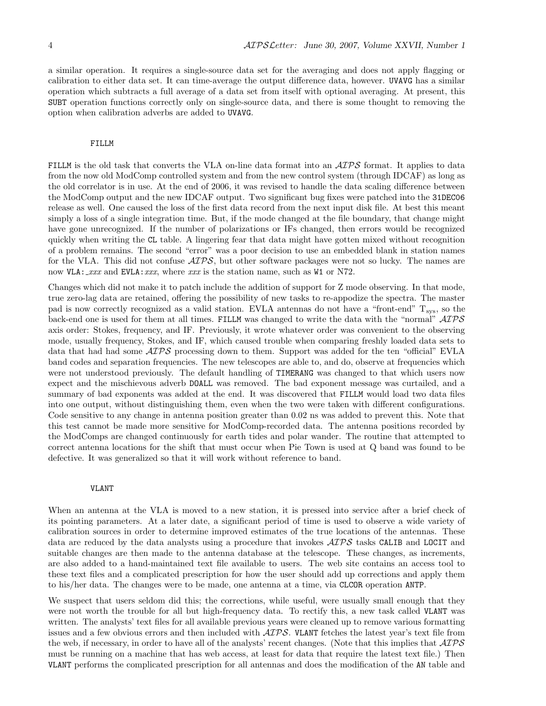a similar operation. It requires a single-source data set for the averaging and does not apply flagging or calibration to either data set. It can time-average the output difference data, however. UVAVG has a similar operation which subtracts a full average of a data set from itself with optional averaging. At present, this SUBT operation functions correctly only on single-source data, and there is some thought to removing the option when calibration adverbs are added to UVAVG.

#### FILLM

FILLM is the old task that converts the VLA on-line data format into an  $\mathcal{AIPS}$  format. It applies to data from the now old ModComp controlled system and from the new control system (through IDCAF) as long as the old correlator is in use. At the end of 2006, it was revised to handle the data scaling difference between the ModComp output and the new IDCAF output. Two significant bug fixes were patched into the 31DEC06 release as well. One caused the loss of the first data record from the next input disk file. At best this meant simply a loss of a single integration time. But, if the mode changed at the file boundary, that change might have gone unrecognized. If the number of polarizations or IFs changed, then errors would be recognized quickly when writing the CL table. A lingering fear that data might have gotten mixed without recognition of a problem remains. The second "error" was a poor decision to use an embedded blank in station names for the VLA. This did not confuse  $\mathcal{AIPS}$ , but other software packages were not so lucky. The names are now  $VLA:~xxx$  and  $EVAL}:~xxx$ , where  $xxx$  is the station name, such as W1 or N72.

Changes which did not make it to patch include the addition of support for Z mode observing. In that mode, true zero-lag data are retained, offering the possibility of new tasks to re-appodize the spectra. The master pad is now correctly recognized as a valid station. EVLA antennas do not have a "front-end"  $T_{sys}$ , so the back-end one is used for them at all times. FILLM was changed to write the data with the "normal" AIPS axis order: Stokes, frequency, and IF. Previously, it wrote whatever order was convenient to the observing mode, usually frequency, Stokes, and IF, which caused trouble when comparing freshly loaded data sets to data that had had some  $\mathcal{AIPS}$  processing down to them. Support was added for the ten "official" EVLA band codes and separation frequencies. The new telescopes are able to, and do, observe at frequencies which were not understood previously. The default handling of TIMERANG was changed to that which users now expect and the mischievous adverb DOALL was removed. The bad exponent message was curtailed, and a summary of bad exponents was added at the end. It was discovered that FILLM would load two data files into one output, without distinguishing them, even when the two were taken with different configurations. Code sensitive to any change in antenna position greater than 0.02 ns was added to prevent this. Note that this test cannot be made more sensitive for ModComp-recorded data. The antenna positions recorded by the ModComps are changed continuously for earth tides and polar wander. The routine that attempted to correct antenna locations for the shift that must occur when Pie Town is used at Q band was found to be defective. It was generalized so that it will work without reference to band.

#### VLANT

When an antenna at the VLA is moved to a new station, it is pressed into service after a brief check of its pointing parameters. At a later date, a significant period of time is used to observe a wide variety of calibration sources in order to determine improved estimates of the true locations of the antennas. These data are reduced by the data analysts using a procedure that invokes  $\mathcal{AIPS}$  tasks CALIB and LOCIT and suitable changes are then made to the antenna database at the telescope. These changes, as increments, are also added to a hand-maintained text file available to users. The web site contains an access tool to these text files and a complicated prescription for how the user should add up corrections and apply them to his/her data. The changes were to be made, one antenna at a time, via CLCOR operation ANTP.

We suspect that users seldom did this; the corrections, while useful, were usually small enough that they were not worth the trouble for all but high-frequency data. To rectify this, a new task called VLANT was written. The analysts' text files for all available previous years were cleaned up to remove various formatting issues and a few obvious errors and then included with AIPS. VLANT fetches the latest year's text file from the web, if necessary, in order to have all of the analysts' recent changes. (Note that this implies that  $\mathcal{AIPS}$ must be running on a machine that has web access, at least for data that require the latest text file.) Then VLANT performs the complicated prescription for all antennas and does the modification of the AN table and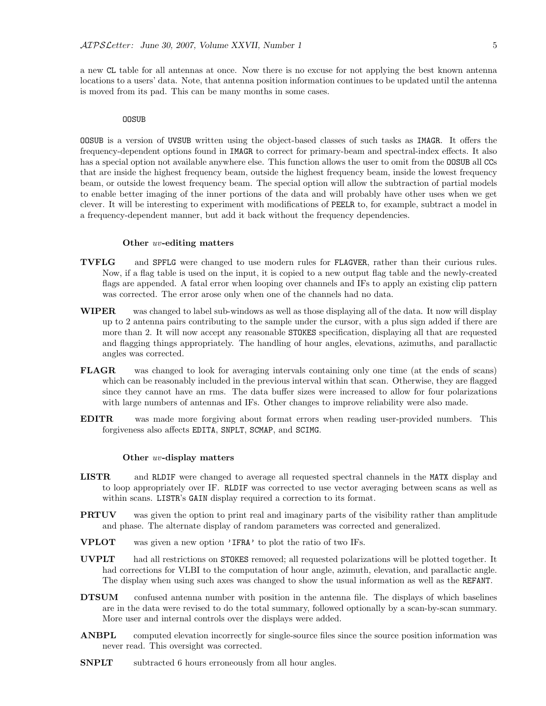a new CL table for all antennas at once. Now there is no excuse for not applying the best known antenna locations to a users' data. Note, that antenna position information continues to be updated until the antenna is moved from its pad. This can be many months in some cases.

#### OOSUB

OOSUB is a version of UVSUB written using the object-based classes of such tasks as IMAGR. It offers the frequency-dependent options found in IMAGR to correct for primary-beam and spectral-index effects. It also has a special option not available anywhere else. This function allows the user to omit from the **OOSUB** all CCs that are inside the highest frequency beam, outside the highest frequency beam, inside the lowest frequency beam, or outside the lowest frequency beam. The special option will allow the subtraction of partial models to enable better imaging of the inner portions of the data and will probably have other uses when we get clever. It will be interesting to experiment with modifications of PEELR to, for example, subtract a model in a frequency-dependent manner, but add it back without the frequency dependencies.

#### Other uv-editing matters

- TVFLG and SPFLG were changed to use modern rules for FLAGVER, rather than their curious rules. Now, if a flag table is used on the input, it is copied to a new output flag table and the newly-created flags are appended. A fatal error when looping over channels and IFs to apply an existing clip pattern was corrected. The error arose only when one of the channels had no data.
- WIPER was changed to label sub-windows as well as those displaying all of the data. It now will display up to 2 antenna pairs contributing to the sample under the cursor, with a plus sign added if there are more than 2. It will now accept any reasonable STOKES specification, displaying all that are requested and flagging things appropriately. The handling of hour angles, elevations, azimuths, and parallactic angles was corrected.
- FLAGR was changed to look for averaging intervals containing only one time (at the ends of scans) which can be reasonably included in the previous interval within that scan. Otherwise, they are flagged since they cannot have an rms. The data buffer sizes were increased to allow for four polarizations with large numbers of antennas and IFs. Other changes to improve reliability were also made.
- EDITR was made more forgiving about format errors when reading user-provided numbers. This forgiveness also affects EDITA, SNPLT, SCMAP, and SCIMG.

#### Other uv-display matters

- LISTR and RLDIF were changed to average all requested spectral channels in the MATX display and to loop appropriately over IF. RLDIF was corrected to use vector averaging between scans as well as within scans. LISTR's GAIN display required a correction to its format.
- **PRTUV** was given the option to print real and imaginary parts of the visibility rather than amplitude and phase. The alternate display of random parameters was corrected and generalized.
- VPLOT was given a new option 'IFRA' to plot the ratio of two IFs.
- UVPLT had all restrictions on STOKES removed; all requested polarizations will be plotted together. It had corrections for VLBI to the computation of hour angle, azimuth, elevation, and parallactic angle. The display when using such axes was changed to show the usual information as well as the REFANT.
- DTSUM confused antenna number with position in the antenna file. The displays of which baselines are in the data were revised to do the total summary, followed optionally by a scan-by-scan summary. More user and internal controls over the displays were added.
- ANBPL computed elevation incorrectly for single-source files since the source position information was never read. This oversight was corrected.
- **SNPLT** subtracted 6 hours erroneously from all hour angles.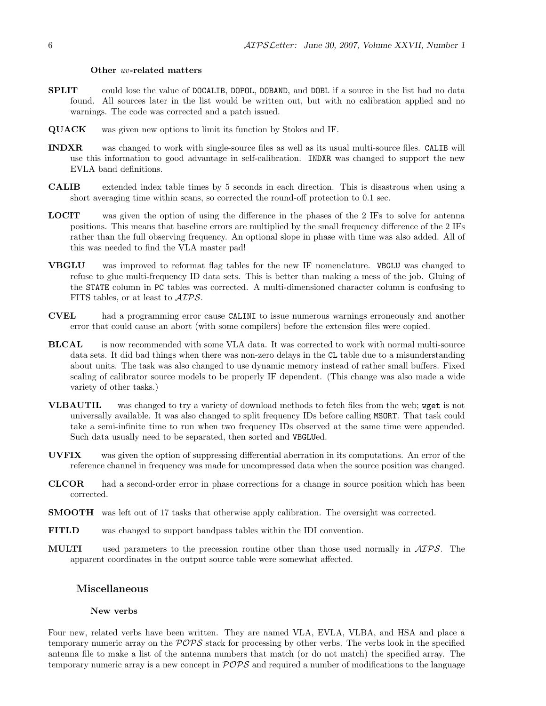#### Other uv-related matters

- SPLIT could lose the value of DOCALIB, DOPOL, DOBAND, and DOBL if a source in the list had no data found. All sources later in the list would be written out, but with no calibration applied and no warnings. The code was corrected and a patch issued.
- QUACK was given new options to limit its function by Stokes and IF.
- INDXR was changed to work with single-source files as well as its usual multi-source files. CALIB will use this information to good advantage in self-calibration. INDXR was changed to support the new EVLA band definitions.
- CALIB extended index table times by 5 seconds in each direction. This is disastrous when using a short averaging time within scans, so corrected the round-off protection to 0.1 sec.
- LOCIT was given the option of using the difference in the phases of the 2 IFs to solve for antenna positions. This means that baseline errors are multiplied by the small frequency difference of the 2 IFs rather than the full observing frequency. An optional slope in phase with time was also added. All of this was needed to find the VLA master pad!
- VBGLU was improved to reformat flag tables for the new IF nomenclature. VBGLU was changed to refuse to glue multi-frequency ID data sets. This is better than making a mess of the job. Gluing of the STATE column in PC tables was corrected. A multi-dimensioned character column is confusing to FITS tables, or at least to AIPS.
- CVEL had a programming error cause CALINI to issue numerous warnings erroneously and another error that could cause an abort (with some compilers) before the extension files were copied.
- BLCAL is now recommended with some VLA data. It was corrected to work with normal multi-source data sets. It did bad things when there was non-zero delays in the CL table due to a misunderstanding about units. The task was also changed to use dynamic memory instead of rather small buffers. Fixed scaling of calibrator source models to be properly IF dependent. (This change was also made a wide variety of other tasks.)
- VLBAUTIL was changed to try a variety of download methods to fetch files from the web; wget is not universally available. It was also changed to split frequency IDs before calling MSORT. That task could take a semi-infinite time to run when two frequency IDs observed at the same time were appended. Such data usually need to be separated, then sorted and VBGLUed.
- UVFIX was given the option of suppressing differential aberration in its computations. An error of the reference channel in frequency was made for uncompressed data when the source position was changed.
- CLCOR had a second-order error in phase corrections for a change in source position which has been corrected.
- SMOOTH was left out of 17 tasks that otherwise apply calibration. The oversight was corrected.
- FITLD was changed to support bandpass tables within the IDI convention.
- MULTI used parameters to the precession routine other than those used normally in AIPS. The apparent coordinates in the output source table were somewhat affected.

## Miscellaneous

#### New verbs

Four new, related verbs have been written. They are named VLA, EVLA, VLBA, and HSA and place a temporary numeric array on the  $POPS$  stack for processing by other verbs. The verbs look in the specified antenna file to make a list of the antenna numbers that match (or do not match) the specified array. The temporary numeric array is a new concept in  $POPS$  and required a number of modifications to the language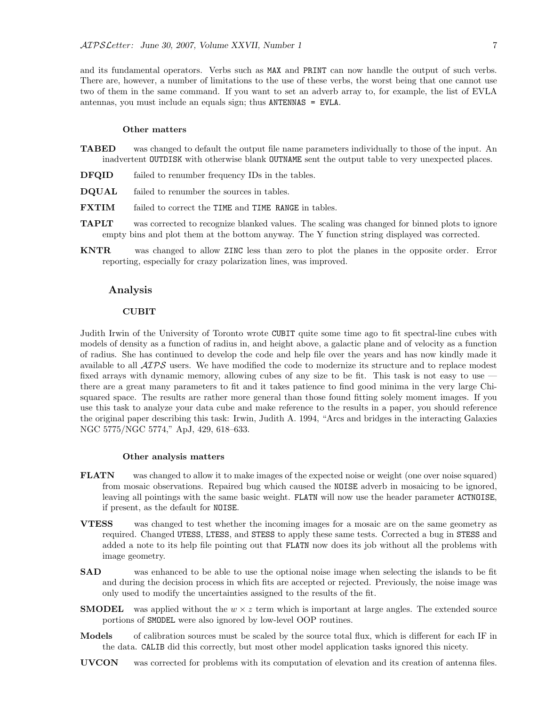and its fundamental operators. Verbs such as MAX and PRINT can now handle the output of such verbs. There are, however, a number of limitations to the use of these verbs, the worst being that one cannot use two of them in the same command. If you want to set an adverb array to, for example, the list of EVLA antennas, you must include an equals sign; thus ANTENNAS = EVLA.

#### Other matters

- TABED was changed to default the output file name parameters individually to those of the input. An inadvertent OUTDISK with otherwise blank OUTNAME sent the output table to very unexpected places.
- DFQID failed to renumber frequency IDs in the tables.
- DQUAL failed to renumber the sources in tables.
- **FXTIM** failed to correct the TIME and TIME RANGE in tables.
- TAPLT was corrected to recognize blanked values. The scaling was changed for binned plots to ignore empty bins and plot them at the bottom anyway. The Y function string displayed was corrected.
- KNTR was changed to allow ZINC less than zero to plot the planes in the opposite order. Error reporting, especially for crazy polarization lines, was improved.

### Analysis

### CUBIT

Judith Irwin of the University of Toronto wrote CUBIT quite some time ago to fit spectral-line cubes with models of density as a function of radius in, and height above, a galactic plane and of velocity as a function of radius. She has continued to develop the code and help file over the years and has now kindly made it available to all  $\mathcal{AIPS}$  users. We have modified the code to modernize its structure and to replace modest fixed arrays with dynamic memory, allowing cubes of any size to be fit. This task is not easy to use there are a great many parameters to fit and it takes patience to find good minima in the very large Chisquared space. The results are rather more general than those found fitting solely moment images. If you use this task to analyze your data cube and make reference to the results in a paper, you should reference the original paper describing this task: Irwin, Judith A. 1994, "Arcs and bridges in the interacting Galaxies NGC 5775/NGC 5774," ApJ, 429, 618–633.

#### Other analysis matters

- FLATN was changed to allow it to make images of the expected noise or weight (one over noise squared) from mosaic observations. Repaired bug which caused the NOISE adverb in mosaicing to be ignored, leaving all pointings with the same basic weight. FLATN will now use the header parameter ACTNOISE, if present, as the default for NOISE.
- VTESS was changed to test whether the incoming images for a mosaic are on the same geometry as required. Changed UTESS, LTESS, and STESS to apply these same tests. Corrected a bug in STESS and added a note to its help file pointing out that FLATN now does its job without all the problems with image geometry.
- SAD was enhanced to be able to use the optional noise image when selecting the islands to be fit and during the decision process in which fits are accepted or rejected. Previously, the noise image was only used to modify the uncertainties assigned to the results of the fit.
- **SMODEL** was applied without the  $w \times z$  term which is important at large angles. The extended source portions of SMODEL were also ignored by low-level OOP routines.
- Models of calibration sources must be scaled by the source total flux, which is different for each IF in the data. CALIB did this correctly, but most other model application tasks ignored this nicety.
- UVCON was corrected for problems with its computation of elevation and its creation of antenna files.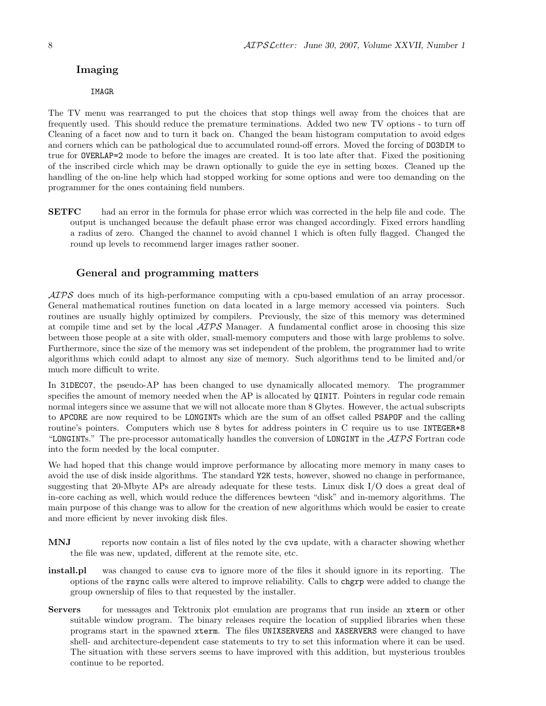## Imaging

#### IMAGR

The TV menu was rearranged to put the choices that stop things well away from the choices that are frequently used. This should reduce the premature terminations. Added two new TV options - to turn off Cleaning of a facet now and to turn it back on. Changed the beam histogram computation to avoid edges and corners which can be pathological due to accumulated round-off errors. Moved the forcing of DO3DIM to true for OVERLAP=2 mode to before the images are created. It is too late after that. Fixed the positioning of the inscribed circle which may be drawn optionally to guide the eye in setting boxes. Cleaned up the handling of the on-line help which had stopped working for some options and were too demanding on the programmer for the ones containing field numbers.

SETFC had an error in the formula for phase error which was corrected in the help file and code. The output is unchanged because the default phase error was changed accordingly. Fixed errors handling a radius of zero. Changed the channel to avoid channel 1 which is often fully flagged. Changed the round up levels to recommend larger images rather sooner.

## General and programming matters

AIPS does much of its high-performance computing with a cpu-based emulation of an array processor. General mathematical routines function on data located in a large memory accessed via pointers. Such routines are usually highly optimized by compilers. Previously, the size of this memory was determined at compile time and set by the local  $\mathcal{AIPS}$  Manager. A fundamental conflict arose in choosing this size between those people at a site with older, small-memory computers and those with large problems to solve. Furthermore, since the size of the memory was set independent of the problem, the programmer had to write algorithms which could adapt to almost any size of memory. Such algorithms tend to be limited and/or much more difficult to write.

In 31DEC07, the pseudo-AP has been changed to use dynamically allocated memory. The programmer specifies the amount of memory needed when the AP is allocated by QINIT. Pointers in regular code remain normal integers since we assume that we will not allocate more than 8 Gbytes. However, the actual subscripts to APCORE are now required to be LONGINTs which are the sum of an offset called PSAPOF and the calling routine's pointers. Computers which use 8 bytes for address pointers in C require us to use INTEGER\*8 "LONGINTS." The pre-processor automatically handles the conversion of LONGINT in the  $\mathcal{AIPS}$  Fortran code into the form needed by the local computer.

We had hoped that this change would improve performance by allocating more memory in many cases to avoid the use of disk inside algorithms. The standard Y2K tests, however, showed no change in performance, suggesting that 20-Mbyte APs are already adequate for these tests. Linux disk I/O does a great deal of in-core caching as well, which would reduce the differences bewteen "disk" and in-memory algorithms. The main purpose of this change was to allow for the creation of new algorithms which would be easier to create and more efficient by never invoking disk files.

- MNJ reports now contain a list of files noted by the cvs update, with a character showing whether the file was new, updated, different at the remote site, etc.
- install.pl was changed to cause cvs to ignore more of the files it should ignore in its reporting. The options of the rsync calls were altered to improve reliability. Calls to chgrp were added to change the group ownership of files to that requested by the installer.
- Servers for messages and Tektronix plot emulation are programs that run inside an xterm or other suitable window program. The binary releases require the location of supplied libraries when these programs start in the spawned xterm. The files UNIXSERVERS and XASERVERS were changed to have shell- and architecture-dependent case statements to try to set this information where it can be used. The situation with these servers seems to have improved with this addition, but mysterious troubles continue to be reported.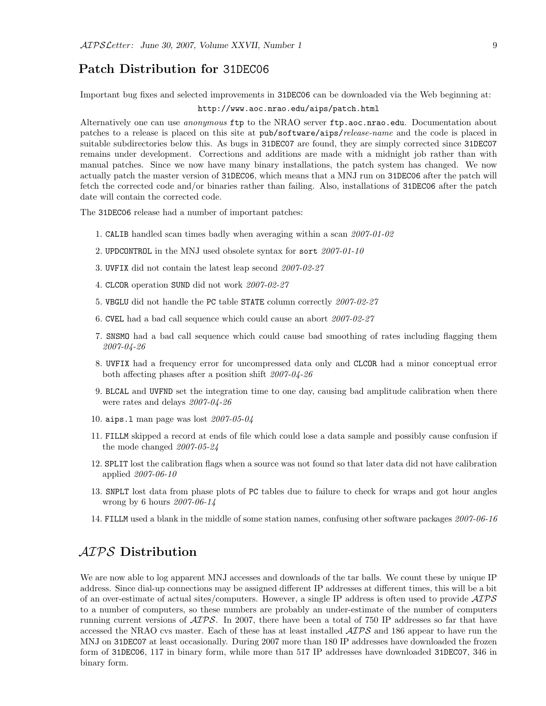## Patch Distribution for 31DEC06

Important bug fixes and selected improvements in 31DEC06 can be downloaded via the Web beginning at:

#### http://www.aoc.nrao.edu/aips/patch.html

Alternatively one can use *anonymous* ftp to the NRAO server ftp.aoc.nrao.edu. Documentation about patches to a release is placed on this site at pub/software/aips/release-name and the code is placed in suitable subdirectories below this. As bugs in 31DEC07 are found, they are simply corrected since 31DEC07 remains under development. Corrections and additions are made with a midnight job rather than with manual patches. Since we now have many binary installations, the patch system has changed. We now actually patch the master version of 31DEC06, which means that a MNJ run on 31DEC06 after the patch will fetch the corrected code and/or binaries rather than failing. Also, installations of 31DEC06 after the patch date will contain the corrected code.

The 31DEC06 release had a number of important patches:

- 1. CALIB handled scan times badly when averaging within a scan 2007-01-02
- 2. UPDCONTROL in the MNJ used obsolete syntax for sort 2007-01-10
- 3. UVFIX did not contain the latest leap second 2007-02-27
- 4. CLCOR operation SUND did not work 2007-02-27
- 5. VBGLU did not handle the PC table STATE column correctly 2007-02-27
- 6. CVEL had a bad call sequence which could cause an abort 2007-02-27
- 7. SNSMO had a bad call sequence which could cause bad smoothing of rates including flagging them 2007-04-26
- 8. UVFIX had a frequency error for uncompressed data only and CLCOR had a minor conceptual error both affecting phases after a position shift 2007-04-26
- 9. BLCAL and UVFND set the integration time to one day, causing bad amplitude calibration when there were rates and delays 2007-04-26
- 10. aips.l man page was lost 2007-05-04
- 11. FILLM skipped a record at ends of file which could lose a data sample and possibly cause confusion if the mode changed 2007-05-24
- 12. SPLIT lost the calibration flags when a source was not found so that later data did not have calibration applied 2007-06-10
- 13. SNPLT lost data from phase plots of PC tables due to failure to check for wraps and got hour angles wrong by 6 hours 2007-06-14
- 14. FILLM used a blank in the middle of some station names, confusing other software packages 2007-06-16

# AIPS Distribution

We are now able to log apparent MNJ accesses and downloads of the tar balls. We count these by unique IP address. Since dial-up connections may be assigned different IP addresses at different times, this will be a bit of an over-estimate of actual sites/computers. However, a single IP address is often used to provide  $\mathcal{AIPS}$ to a number of computers, so these numbers are probably an under-estimate of the number of computers running current versions of  $\mathcal{A} \mathcal{I} \mathcal{P} \mathcal{S}$ . In 2007, there have been a total of 750 IP addresses so far that have accessed the NRAO cvs master. Each of these has at least installed  $\mathcal{AIPS}$  and 186 appear to have run the MNJ on 31DEC07 at least occasionally. During 2007 more than 180 IP addresses have downloaded the frozen form of 31DEC06, 117 in binary form, while more than 517 IP addresses have downloaded 31DEC07, 346 in binary form.